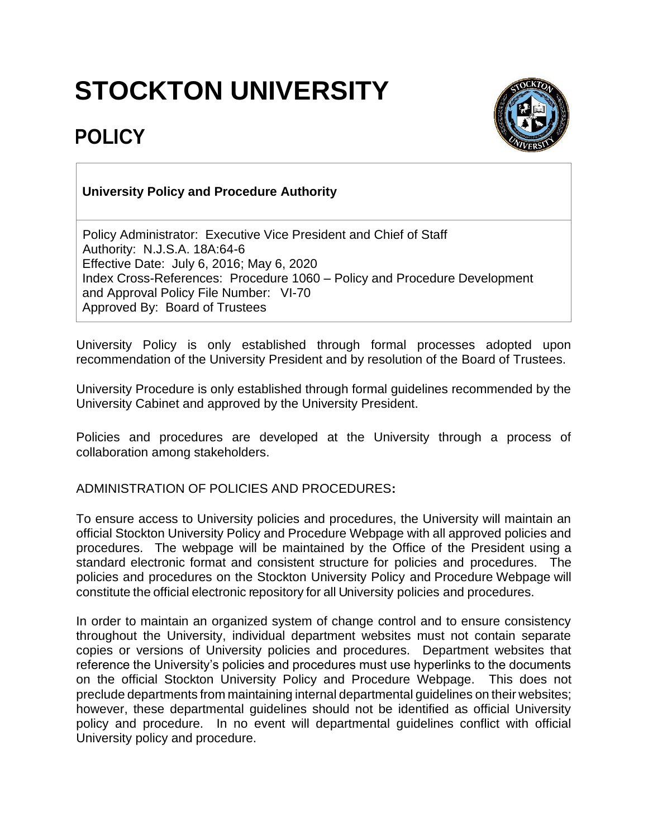## **STOCKTON UNIVERSITY**



## **POLICY**

## **University Policy and Procedure Authority**

Policy Administrator: Executive Vice President and Chief of Staff Authority: N.J.S.A. 18A:64-6 Effective Date: July 6, 2016; May 6, 2020 Index Cross-References: Procedure 1060 – Policy and Procedure Development and Approval Policy File Number: VI-70 Approved By: Board of Trustees

University Policy is only established through formal processes adopted upon recommendation of the University President and by resolution of the Board of Trustees.

University Procedure is only established through formal guidelines recommended by the University Cabinet and approved by the University President.

Policies and procedures are developed at the University through a process of collaboration among stakeholders.

## ADMINISTRATION OF POLICIES AND PROCEDURES**:**

To ensure access to University policies and procedures, the University will maintain an official Stockton University Policy and Procedure Webpage with all approved policies and procedures. The webpage will be maintained by the Office of the President using a standard electronic format and consistent structure for policies and procedures. The policies and procedures on the Stockton University Policy and [Procedure](https://stockton.edu/policy-procedure/) Webpage will constitute the official electronic repository for all University policies and procedures.

In order to maintain an organized system of change control and to ensure consistency throughout the University, individual department websites must not contain separate copies or versions of University policies and procedures. Department websites that reference the University's policies and procedures must use hyperlinks to the documents on the official Stockton University Policy and Procedure Webpage. This does not preclude departments from maintaining internal departmental guidelines on their websites; however, these departmental guidelines should not be identified as official University policy and procedure. In no event will departmental guidelines conflict with official University policy and procedure.